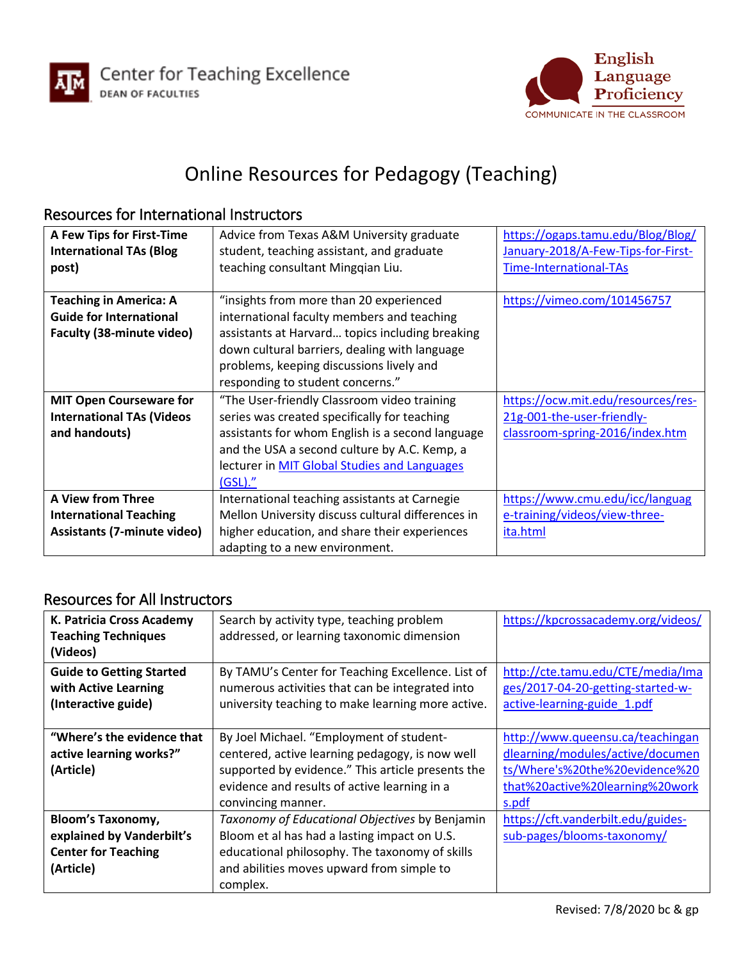



## Online Resources for Pedagogy (Teaching)

## Resources for International Instructors

| A Few Tips for First-Time          | Advice from Texas A&M University graduate           | https://ogaps.tamu.edu/Blog/Blog/  |
|------------------------------------|-----------------------------------------------------|------------------------------------|
| <b>International TAs (Blog</b>     | student, teaching assistant, and graduate           | January-2018/A-Few-Tips-for-First- |
| post)                              | teaching consultant Mingqian Liu.                   | Time-International-TAs             |
|                                    |                                                     |                                    |
| <b>Teaching in America: A</b>      | "insights from more than 20 experienced             | https://vimeo.com/101456757        |
| <b>Guide for International</b>     | international faculty members and teaching          |                                    |
| <b>Faculty (38-minute video)</b>   | assistants at Harvard topics including breaking     |                                    |
|                                    | down cultural barriers, dealing with language       |                                    |
|                                    | problems, keeping discussions lively and            |                                    |
|                                    | responding to student concerns."                    |                                    |
| <b>MIT Open Courseware for</b>     | "The User-friendly Classroom video training         | https://ocw.mit.edu/resources/res- |
| <b>International TAs (Videos</b>   | series was created specifically for teaching        | 21g-001-the-user-friendly-         |
| and handouts)                      | assistants for whom English is a second language    | classroom-spring-2016/index.htm    |
|                                    | and the USA a second culture by A.C. Kemp, a        |                                    |
|                                    | lecturer in <b>MIT Global Studies and Languages</b> |                                    |
|                                    | (GSL).''                                            |                                    |
| <b>A View from Three</b>           |                                                     |                                    |
|                                    | International teaching assistants at Carnegie       | https://www.cmu.edu/icc/languag    |
| <b>International Teaching</b>      | Mellon University discuss cultural differences in   | e-training/videos/view-three-      |
| <b>Assistants (7-minute video)</b> | higher education, and share their experiences       | ita.html                           |

## Resources for All Instructors

| K. Patricia Cross Academy       | Search by activity type, teaching problem         | https://kpcrossacademy.org/videos/ |
|---------------------------------|---------------------------------------------------|------------------------------------|
| <b>Teaching Techniques</b>      | addressed, or learning taxonomic dimension        |                                    |
| (Videos)                        |                                                   |                                    |
| <b>Guide to Getting Started</b> | By TAMU's Center for Teaching Excellence. List of | http://cte.tamu.edu/CTE/media/Ima  |
| with Active Learning            | numerous activities that can be integrated into   | ges/2017-04-20-getting-started-w-  |
| (Interactive guide)             | university teaching to make learning more active. | active-learning-guide 1.pdf        |
|                                 |                                                   |                                    |
| "Where's the evidence that      | By Joel Michael. "Employment of student-          | http://www.queensu.ca/teachingan   |
| active learning works?"         | centered, active learning pedagogy, is now well   | dlearning/modules/active/documen   |
| (Article)                       | supported by evidence." This article presents the | ts/Where's%20the%20evidence%20     |
|                                 | evidence and results of active learning in a      | that%20active%20learning%20work    |
|                                 | convincing manner.                                | s.pdf                              |
| <b>Bloom's Taxonomy,</b>        | Taxonomy of Educational Objectives by Benjamin    | https://cft.vanderbilt.edu/guides- |
| explained by Vanderbilt's       | Bloom et al has had a lasting impact on U.S.      | sub-pages/blooms-taxonomy/         |
| <b>Center for Teaching</b>      | educational philosophy. The taxonomy of skills    |                                    |
| (Article)                       | and abilities moves upward from simple to         |                                    |
|                                 | complex.                                          |                                    |